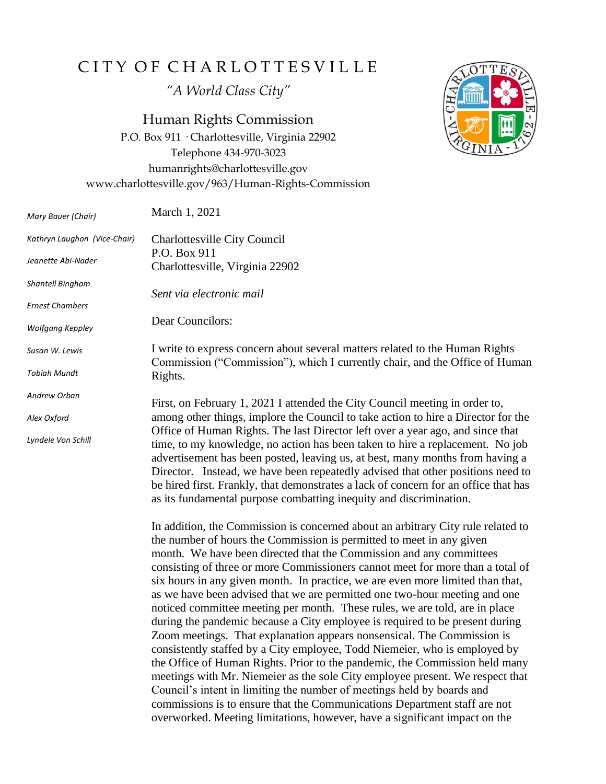## CITY OF CHARLOTTESVILLE

*"A World Class City"*

Human Rights Commission

P.O. Box 911 · Charlottesville, Virginia 22902 Telephone 434-970-3023 humanrights@charlottesville.gov www.charlottesville.gov/963/Human-Rights-Commission



the number of hours the Commission is permitted to meet in any given month. We have been directed that the Commission and any committees consisting of three or more Commissioners cannot meet for more than a total of six hours in any given month. In practice, we are even more limited than that, as we have been advised that we are permitted one two-hour meeting and one noticed committee meeting per month. These rules, we are told, are in place during the pandemic because a City employee is required to be present during Zoom meetings. That explanation appears nonsensical. The Commission is consistently staffed by a City employee, Todd Niemeier, who is employed by the Office of Human Rights. Prior to the pandemic, the Commission held many meetings with Mr. Niemeier as the sole City employee present. We respect that Council's intent in limiting the number of meetings held by boards and commissions is to ensure that the Communications Department staff are not overworked. Meeting limitations, however, have a significant impact on the

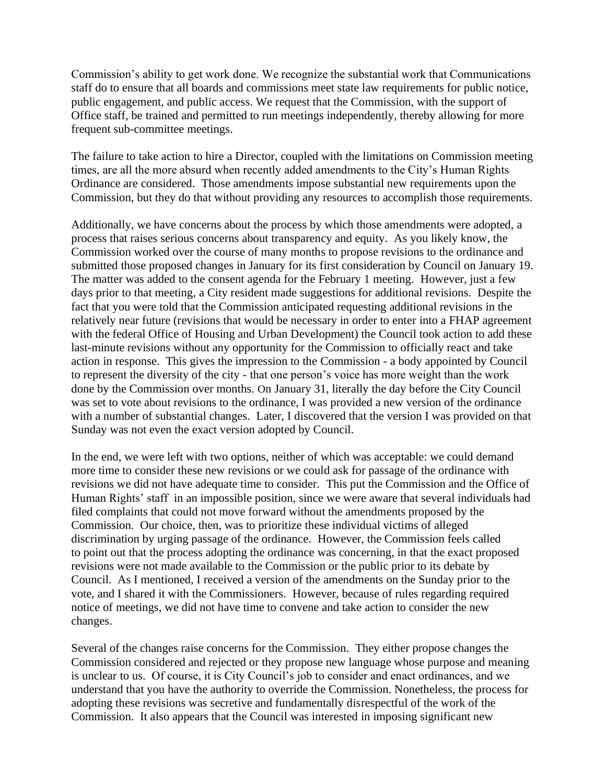Commission's ability to get work done. We recognize the substantial work that Communications staff do to ensure that all boards and commissions meet state law requirements for public notice, public engagement, and public access. We request that the Commission, with the support of Office staff, be trained and permitted to run meetings independently, thereby allowing for more frequent sub-committee meetings.

The failure to take action to hire a Director, coupled with the limitations on Commission meeting times, are all the more absurd when recently added amendments to the City's Human Rights Ordinance are considered. Those amendments impose substantial new requirements upon the Commission, but they do that without providing any resources to accomplish those requirements.

Additionally, we have concerns about the process by which those amendments were adopted, a process that raises serious concerns about transparency and equity. As you likely know, the Commission worked over the course of many months to propose revisions to the ordinance and submitted those proposed changes in January for its first consideration by Council on January 19. The matter was added to the consent agenda for the February 1 meeting. However, just a few days prior to that meeting, a City resident made suggestions for additional revisions. Despite the fact that you were told that the Commission anticipated requesting additional revisions in the relatively near future (revisions that would be necessary in order to enter into a FHAP agreement with the federal Office of Housing and Urban Development) the Council took action to add these last-minute revisions without any opportunity for the Commission to officially react and take action in response. This gives the impression to the Commission - a body appointed by Council to represent the diversity of the city - that one person's voice has more weight than the work done by the Commission over months. On January 31, literally the day before the City Council was set to vote about revisions to the ordinance, I was provided a new version of the ordinance with a number of substantial changes. Later, I discovered that the version I was provided on that Sunday was not even the exact version adopted by Council.

In the end, we were left with two options, neither of which was acceptable: we could demand more time to consider these new revisions or we could ask for passage of the ordinance with revisions we did not have adequate time to consider. This put the Commission and the Office of Human Rights' staff in an impossible position, since we were aware that several individuals had filed complaints that could not move forward without the amendments proposed by the Commission. Our choice, then, was to prioritize these individual victims of alleged discrimination by urging passage of the ordinance. However, the Commission feels called to point out that the process adopting the ordinance was concerning, in that the exact proposed revisions were not made available to the Commission or the public prior to its debate by Council. As I mentioned, I received a version of the amendments on the Sunday prior to the vote, and I shared it with the Commissioners. However, because of rules regarding required notice of meetings, we did not have time to convene and take action to consider the new changes.

Several of the changes raise concerns for the Commission. They either propose changes the Commission considered and rejected or they propose new language whose purpose and meaning is unclear to us. Of course, it is City Council's job to consider and enact ordinances, and we understand that you have the authority to override the Commission. Nonetheless, the process for adopting these revisions was secretive and fundamentally disrespectful of the work of the Commission. It also appears that the Council was interested in imposing significant new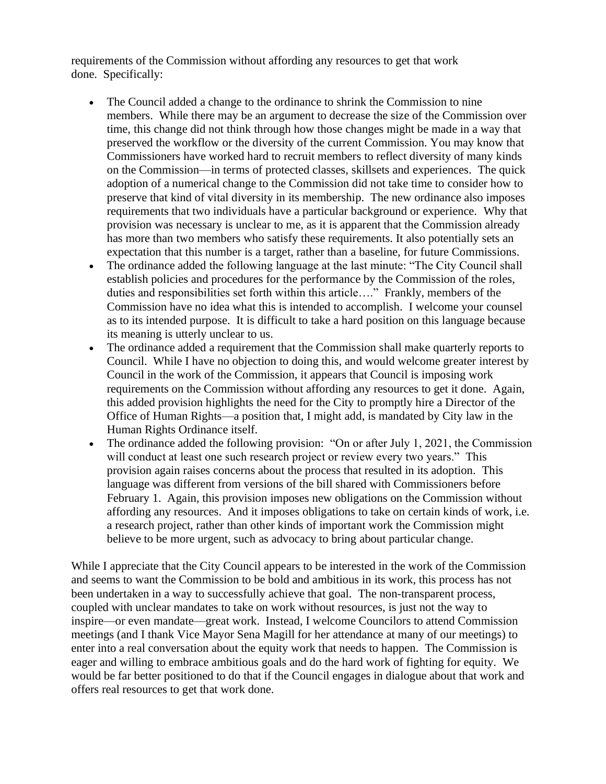requirements of the Commission without affording any resources to get that work done. Specifically:

- The Council added a change to the ordinance to shrink the Commission to nine members. While there may be an argument to decrease the size of the Commission over time, this change did not think through how those changes might be made in a way that preserved the workflow or the diversity of the current Commission. You may know that Commissioners have worked hard to recruit members to reflect diversity of many kinds on the Commission—in terms of protected classes, skillsets and experiences. The quick adoption of a numerical change to the Commission did not take time to consider how to preserve that kind of vital diversity in its membership. The new ordinance also imposes requirements that two individuals have a particular background or experience. Why that provision was necessary is unclear to me, as it is apparent that the Commission already has more than two members who satisfy these requirements. It also potentially sets an expectation that this number is a target, rather than a baseline, for future Commissions.
- The ordinance added the following language at the last minute: "The City Council shall establish policies and procedures for the performance by the Commission of the roles, duties and responsibilities set forth within this article…." Frankly, members of the Commission have no idea what this is intended to accomplish. I welcome your counsel as to its intended purpose. It is difficult to take a hard position on this language because its meaning is utterly unclear to us.
- The ordinance added a requirement that the Commission shall make quarterly reports to Council. While I have no objection to doing this, and would welcome greater interest by Council in the work of the Commission, it appears that Council is imposing work requirements on the Commission without affording any resources to get it done. Again, this added provision highlights the need for the City to promptly hire a Director of the Office of Human Rights—a position that, I might add, is mandated by City law in the Human Rights Ordinance itself.
- The ordinance added the following provision: "On or after July 1, 2021, the Commission will conduct at least one such research project or review every two years." This provision again raises concerns about the process that resulted in its adoption. This language was different from versions of the bill shared with Commissioners before February 1. Again, this provision imposes new obligations on the Commission without affording any resources. And it imposes obligations to take on certain kinds of work, i.e. a research project, rather than other kinds of important work the Commission might believe to be more urgent, such as advocacy to bring about particular change.

While I appreciate that the City Council appears to be interested in the work of the Commission and seems to want the Commission to be bold and ambitious in its work, this process has not been undertaken in a way to successfully achieve that goal. The non-transparent process, coupled with unclear mandates to take on work without resources, is just not the way to inspire—or even mandate—great work. Instead, I welcome Councilors to attend Commission meetings (and I thank Vice Mayor Sena Magill for her attendance at many of our meetings) to enter into a real conversation about the equity work that needs to happen. The Commission is eager and willing to embrace ambitious goals and do the hard work of fighting for equity. We would be far better positioned to do that if the Council engages in dialogue about that work and offers real resources to get that work done.